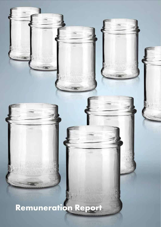# Remuneration Report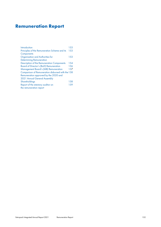# Remuneration Report

| Introduction                                      | 153  |
|---------------------------------------------------|------|
| Principles of the Remuneration Scheme and its     | 153  |
| Components                                        |      |
| Organisation and Authorities for                  | 153  |
| <b>Determining Remuneration</b>                   |      |
| Description of the Remuneration Components        | 154  |
| <b>Board of Director's (BoD) Remuneration</b>     | 156  |
| <b>Management Board's (MB) Remuneration</b>       | 157  |
| Comparison of Remuneration disbursed with the 158 |      |
| Remuneration approved by the 2020 and             |      |
| 2021 Annual General Assembly                      |      |
| Shareholdings                                     | 158  |
| Report of the statutory auditor on                | 1.59 |
| the remuneration report                           |      |
|                                                   |      |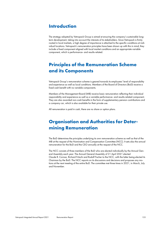## <span id="page-2-0"></span>Introduction

The strategy adopted by Vetropack Group is aimed at ensuring the company's sustainable longterm development, taking into account the interests of its stakeholders. Since Vetropack is firmly rooted in local markets, a high degree of importance is attached to the specific conditions at individual locations. Vetropack's remuneration principles have been drawn up with this in mind; they include a fixed component aligned with local market conditions and an appropriate variable component, which is performance- and results-related.

## <span id="page-2-1"></span>Principles of the Remuneration Scheme and its Components

Vetropack Group's remuneration scheme is geared towards its employees' level of responsibility and experience as well as local conditions. Members of the Board of Directors (BoD) receive a fixed cash benefit with no variable components.

Members of the Management Board (MB) receive basic remuneration reflecting their individual responsibility and experience as well as a variable performance- and results-related component. They are also awarded non-cash benefits in the form of supplementary pension contributions and a company car, which is also available for their private use.

All remuneration is paid in cash, there are no share or option plans.

## <span id="page-2-2"></span>Organisation and Authorities for Determining Remuneration

The BoD determines the principles underlying its own remuneration scheme as well as that of the MB at the request of the Nomination and Compensation Committee (NCC). It sets also the annual remuneration for the BoD and the CEO annually at the request of the NCC.

The NCC consists of three members of the BoD who are elected individually by the Annual General Assembly each year. The Annual General Assembly of 21 April 2021 elected Claude R. Cornaz, Richard Fritschi and Rudolf Fischer to the NCC, with the latter being elected its Chairman by the BoD. The NCC reports on its discussions and decisions and proposes any motions at the next meeting of the entire BoD. The committee met three times in 2021, in March, July and November.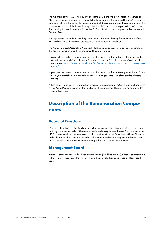The main task of the NCC is to regularly check the BoD's and MB's remuneration schemes. The NCC recommends remuneration proposals for the members of the BoD and the CEO to the entire BoD for resolution. The committee takes independent decisions regarding the remuneration of the remaining members of the MB at the request of the CEO. The NCC also puts to the BoD the motions relating to overall remuneration for the BoD and MB that are to be proposed at the Annual General Assembly.

It also prepares the medium- and long-term human resources planning for the members of the BoD and the MB and submits its proposals to the entire BoD for resolution.

The Annual General Assembly of Vetropack Holding Ltd votes separately on the remuneration of the Board of Directors and the Management Board as follows:

- prospectively on the maximum total amount of remuneration for the Board of Directors for the period until the next Annual General Assembly (cp. article 27 of the company's articles of incorporation [https://www.vetropack.com/en/vetropack/investor-relations/corporate-gover-](https://www.vetropack.com/en/vetropack/investor-relations/corporate-governance/)). [nance/](https://www.vetropack.com/en/vetropack/investor-relations/corporate-governance/)
- prospectively on the maximum total amount of remuneration for the Management Board for the fiscal year that follows the Annual General Assembly (cp. article 27 of the articles of incorporation).

Article 28 of the articles of incorporation provides for an additional 40% of the amount approved by the Annual General Assembly for members of the Management Board nominated during the remuneration period.

## <span id="page-3-0"></span>Description of the Remuneration Components

#### Board of Directors

Members of the BoD receive fixed remuneration in cash, with the Chairman, Vice-Chairman and ordinary members entitled to different amounts based on a graduated scale. The members of the NCC also receive fixed remuneration in cash for their work on the Committee, with the Chairman and ordinary members likewise entitled to different amounts based on a graduated scale. There are no variable components. Remuneration is paid out in 12 monthly instalments.

#### Management Board

Members of the MB receive fixed basic remuneration (fixed basic salary), which is commensurate to the level of responsibility they have in their individual role, their experience and local conditions.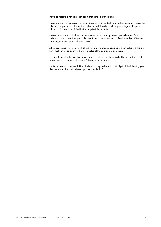They also receive a variable cash bonus that consists of two parts:

- an individual bonus, based on the achievement of individually defined performance goals. This bonus component is calculated based on an individually specified percentage of the personal fixed basic salary, multiplied by the target attainment rate.
- a net result bonus, calculated on the basis of an individually defined per mille rate of the Group's consolidated net profit after tax. If the consolidated net profit is lower than 2% of the net revenue, this net result bonus is zero.

When appraising the extent to which individual performance goals have been achieved, the elements that cannot be quantified are evaluated at the appraiser's discretion.

The target value for the variable component as a whole, i.e. the individual bonus and net result bonus together, is between 25% and 50% of the basic salary.

It is limited to a maximum of 75% of the basic salary and is paid out in April of the following year after the Annual Report has been approved by the BoD.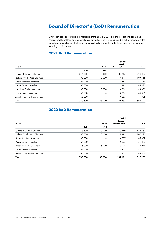## <span id="page-5-0"></span>Board of Director's (BoD) Remuneration

Only cash benefits were paid to members of the BoD in 2021. No shares, options, loans and credits, additional fees or remuneration of any other kind were disbursed to either members of the BoD, former members of the BoD or persons closely associated with them. There are also no outstanding credits or loans.

## 2021 BoD Remuneration

|                                 |            |            | Social<br><b>Security</b> |         |
|---------------------------------|------------|------------|---------------------------|---------|
| in CHF                          |            | Cash       | <b>Contributions</b>      | Total   |
|                                 | <b>BoD</b> | <b>NCC</b> |                           |         |
| Claude R. Cornaz, Chairman      | 315800     | 10 000     | 100 286                   | 426 086 |
| Richard Fritschi, Vice-Chairman | 90 000     | 10 000     | 7516                      | 107516  |
| Sönke Bandixen, Member          | 65 000     |            | 4885                      | 69885   |
| Pascal Cornaz, Member           | 65 000     |            | 4885                      | 69885   |
| Rudolf W. Fischer, Member       | 65 000     | 15 000     | 4055                      | 84055   |
| Urs Kaufmann, Member            | 65 000     |            | 4885                      | 69885   |
| Jean-Philippe Rochat, Member    | 65 000     |            | 4885                      | 69885   |
| Total                           | 730800     | 35 000     | 131397                    | 897 197 |

### 2020 BoD Remuneration

|            |            | Social<br><b>Security</b> |         |
|------------|------------|---------------------------|---------|
|            | Cash       | <b>Contributions</b>      | Total   |
| <b>BoD</b> | <b>NCC</b> |                           |         |
| 315800     | 10 000     | 100 580                   | 426380  |
| 90 000     | 10 000     | 7395                      | 107395  |
| 65 000     |            | 4807                      | 69807   |
| 65 000     |            | 4807                      | 69807   |
| 65 000     | 15 000     | 3978                      | 83 978  |
| 65 000     |            | 4807                      | 69807   |
| 65 000     |            | 4807                      | 69807   |
| 730800     | 35 000     | 131 181                   | 896 981 |
|            |            |                           |         |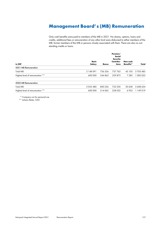## Management Board's (MB) Remuneration

Only cash benefits were paid to members of the MB in 2021. No shares, options, loans and credits, additional fees or remuneration of any other kind were disbursed to either members of the MB, former members of the MB or persons closely associated with them. There are also no outstanding credits or loans.

<span id="page-6-0"></span>

| in CHF                           | <b>Basic</b><br>Salary | <b>Bonus</b> | Pension/<br>Social<br><b>Security</b><br>Contribu-<br>tions | Non-cash<br><b>Benefits*</b> | Total     |
|----------------------------------|------------------------|--------------|-------------------------------------------------------------|------------------------------|-----------|
| 2021 MB Remuneration             |                        |              |                                                             |                              |           |
| <b>Total MB</b>                  | 2 148 091              | 756 526      | 757763                                                      | 43 105                       | 3705485   |
| Highest level of remuneration ** | 600 000                | 244863       | 229 875                                                     | 7 2 8 5                      | 082023    |
| 2020 MB Remuneration             |                        |              |                                                             |                              |           |
| <b>Total MB</b>                  | 2035480                | 800 236      | 722 250                                                     | 50 658                       | 3 608 624 |
| Highest level of remuneration ** | 600 000                | 314062       | 228 032                                                     | 6925                         | 1149019   |

\* Company car for personal use

\*\* Johann Reiter, CEO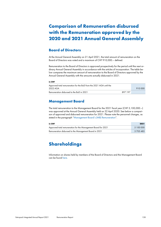## <span id="page-7-0"></span>Comparison of Remuneration disbursed with the Remuneration approved by the 2020 and 2021 Annual General Assembly

#### Board of Directors

At the Annual General Assembly on 21 April 2021, the total amount of remuneration on the Board of Directors was voted and a maximum of CHF 910,000.– defined.

Remuneration to the Board of Directors is approved prospectively for the period until the next ordinary Annual General Assembly in accordance with the articles of incorporation. The table below compares the maximum amount of remuneration to the Board of Directors approved by the Annual General Assembly with the amounts actually disbursed in 2021.

#### in CHF

| Approved total remuneration for the BoD from the 2021 AGA until the<br>2022 AGA |  |  |
|---------------------------------------------------------------------------------|--|--|
| Remuneration disbursed to the BoD in 2021<br>897 197                            |  |  |

#### Management Board

The total remuneration to the Management Board for the 2021 fiscal year (CHF 5,100,000.–) was approved at the Annual General Assembly held on 22 April 2020. See below a comparison of approved and disbursed remuneration for 2021. Please note the personnel changes, as stated in the paragraph "[Management Board's \(MB\) Remuneration](#page-6-0)".

| in CHF                                                        | 2021      |
|---------------------------------------------------------------|-----------|
| Approved total remuneration for the Management Board for 2021 | 5 100 000 |
| Remuneration disbursed to the Management Board in 2021        | 3 705 485 |

## <span id="page-7-1"></span>Shareholdings

Information on shares held by members of the Board of Directors and the Management Board can be found here[.](#page--1-0)